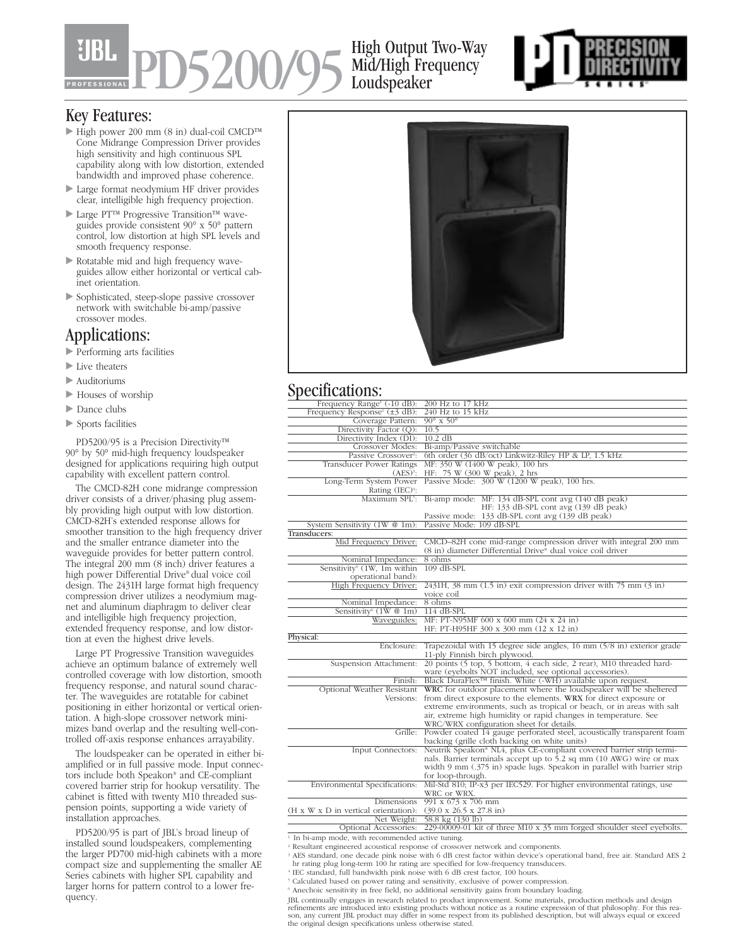# PD5200/95

### High Output Two-Way Mid/High Frequency Loudspeaker



#### Key Features:

- High power 200 mm (8 in) dual-coil CMCD™ Cone Midrange Compression Driver provides high sensitivity and high continuous SPL capability along with low distortion, extended bandwidth and improved phase coherence.
- Large format neodymium HF driver provides clear, intelligible high frequency projection.
- Large PT™ Progressive Transition™ waveguides provide consistent 90° x 50° pattern control, low distortion at high SPL levels and smooth frequency response.
- Rotatable mid and high frequency waveguides allow either horizontal or vertical cabinet orientation.
- Sophisticated, steep-slope passive crossover network with switchable bi-amp/passive crossover modes.

#### Applications:

- Performing arts facilities
- Live theaters
- Auditoriums
- Houses of worship
- Dance clubs
- Sports facilities

PD5200/95 is a Precision Directivity™ 90° by 50° mid-high frequency loudspeaker designed for applications requiring high output capability with excellent pattern control.

The CMCD-82H cone midrange compression driver consists of a driver/phasing plug assembly providing high output with low distortion. CMCD-82H's extended response allows for smoother transition to the high frequency driver and the smaller entrance diameter into the waveguide provides for better pattern control. The integral 200 mm (8 inch) driver features a high power Differential Drive® dual voice coil design. The 2431H large format high frequency compression driver utilizes a neodymium magnet and aluminum diaphragm to deliver clear and intelligible high frequency projection, extended frequency response, and low distortion at even the highest drive levels.

Large PT Progressive Transition waveguides achieve an optimum balance of extremely well controlled coverage with low distortion, smooth frequency response, and natural sound character. The waveguides are rotatable for cabinet positioning in either horizontal or vertical orientation. A high-slope crossover network minimizes band overlap and the resulting well-controlled off-axis response enhances arrayability.

The loudspeaker can be operated in either biamplified or in full passive mode. Input connectors include both Speakon® and CE-compliant covered barrier strip for hookup versatility. The cabinet is fitted with twenty M10 threaded suspension points, supporting a wide variety of installation approaches.

PD5200/95 is part of JBL's broad lineup of installed sound loudspeakers, complementing the larger PD700 mid-high cabinets with a more compact size and supplementing the smaller AE Series cabinets with higher SPL capability and larger horns for pattern control to a lower frequency.



## Specifications:

| Frequency Range <sup>1</sup> (-10 dB):         | 200 Hz to 17 kHz                                                                       |
|------------------------------------------------|----------------------------------------------------------------------------------------|
| Frequency Response <sup>1</sup> ( $\pm$ 3 dB): | $240$ Hz to 15 kHz                                                                     |
| Coverage Pattern:                              | $90^\circ \times 50^\circ$                                                             |
| Directivity Factor (Q):                        | 10.5                                                                                   |
| Directivity Index (DI):                        | $10.2$ dB                                                                              |
| Crossover Modes:                               | Bi-amp/Passive switchable                                                              |
| Passive Crossover <sup>2</sup> :               | 6th order (36 dB/oct) Linkwitz-Riley HP & LP, 1.5 kHz                                  |
| <b>Transducer Power Ratings</b>                | MF: 350 W (1400 W peak), 100 hrs                                                       |
| $(AES)^3$ :                                    | HF: 75 W (300 W peak), 2 hrs                                                           |
|                                                | Long-Term System Power Passive Mode: 300 W (1200 W peak), 100 hrs.                     |
| Rating (IEC) <sup>4</sup> :                    |                                                                                        |
|                                                | Maximum SPL <sup>5</sup> : Bi-amp mode: MF: 134 dB-SPL cont avg (140 dB peak)          |
|                                                | HF: 133 dB-SPL cont avg (139 dB peak)                                                  |
|                                                | Passive mode: 133 dB-SPL cont avg (139 dB peak)                                        |
| System Sensitivity (1W @ 1m):                  | Passive Mode: 109 dB-SPL                                                               |
| Transducers:                                   |                                                                                        |
| Mid Frequency Driver:                          | CMCD-82H cone mid-range compression driver with integral 200 mm                        |
|                                                | (8 in) diameter Differential Drive® dual voice coil driver                             |
| Nominal Impedance:                             | 8 ohms                                                                                 |
| Sensitivity <sup>6</sup> (1W, 1m within        | $109$ dB-SPL                                                                           |
| operational band):                             |                                                                                        |
| High Frequency Driver:                         | $2431H$ , 38 mm $(1.5 \text{ in})$ exit compression driver with 75 mm $(3 \text{ in})$ |
|                                                | voice coil                                                                             |
| Nominal Impedance:                             | 8 ohms                                                                                 |
| Sensitivity <sup>6</sup> $(1W@1m)$             | 114 dB-SPL                                                                             |
| Waveguides:                                    | MF: PT-N95MF 600 x 600 mm (24 x 24 in)                                                 |
|                                                | HF: PT-H95HF 300 x 300 mm (12 x 12 in)                                                 |
| Physical:                                      |                                                                                        |
| Enclosure:                                     | Trapezoidal with 15 degree side angles, 16 mm (5/8 in) exterior grade                  |
|                                                | 11-ply Finnish birch plywood.                                                          |
| Suspension Attachment:                         | 20 points (5 top, 5 bottom, 4 each side, 2 rear), M10 threaded hard-                   |
|                                                | ware (eyebolts NOT included, see optional accessories).                                |
| Finish:                                        | Black DuraFlex <sup>™</sup> finish. White (-WH) available upon request.                |
| Optional Weather Resistant                     | WRC for outdoor placement where the loudspeaker will be sheltered                      |
| Versions:                                      | from direct exposure to the elements. WRX for direct exposure or                       |
|                                                | extreme environments, such as tropical or beach, or in areas with salt                 |
|                                                | air, extreme high humidity or rapid changes in temperature. See                        |
|                                                | WRC/WRX configuration sheet for details.                                               |
|                                                | Grille: Powder coated 14 gauge perforated steel, acoustically transparent foam         |
|                                                | backing (grille cloth backing on white units)                                          |
| Input Connectors:                              | Neutrik Speakon® NL4, plus CE-compliant covered barrier strip termi-                   |
|                                                | nals. Barrier terminals accept up to 5.2 sq mm (10 AWG) wire or max                    |
|                                                | width 9 mm (.375 in) spade lugs. Speakon in parallel with barrier strip                |
|                                                | for loop-through.                                                                      |
| Environmental Specifications:                  | Mil-Std 810; IP-x3 per IEC529. For higher environmental ratings, use                   |
|                                                | WRC or WRX.                                                                            |
| <b>Dimensions</b>                              | $991 \times 673 \times 706$ mm                                                         |
| (H x W x D in vertical orientation):           | $(39.0 \times 26.5 \times 27.8 \text{ in})$                                            |
| Net Weight:                                    | 58.8 kg (130 lb)                                                                       |
| Optional Accessories:                          | 229-00009-01 kit of three M10 x 35 mm forged shoulder steel eyebolts.                  |

<sup>1.</sup> In bi-amp mode, with recommended active tuning.

- <sup>2</sup> Resultant engineered acoustical response of crossover network and components.
- <sup>3</sup> AES standard, one decade pink noise with 6 dB crest factor within device's operational band, free air. Standard AES 2
- hr rating plug long-term 100 hr rating are specified for low-frequency transducers. <sup>4</sup> IEC standard, full bandwidth pink noise with 6 dB crest factor, 100 hours.

<sup>6</sup> Anechoic sensitivity in free field, no additional sensitivity gains from boundary loading.

JBL continually engages in research related to product improvement. Some materials, production methods and design<br>refinements are introduced into existing products without notice as a routine expression of that philosophy.

<sup>&</sup>lt;sup>5</sup> Calculated based on power rating and sensitivity, exclusive of power compression.